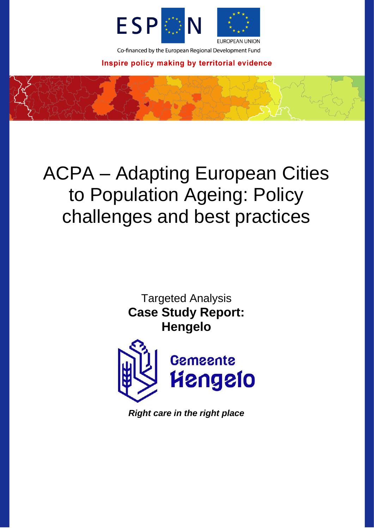

Co-financed by the European Regional Development Fund

Inspire policy making by territorial evidence

# ACPA – Adapting European Cities to Population Ageing: Policy challenges and best practices

Targeted Analysis **Case Study Report: Hengelo**



*Right care in the right place*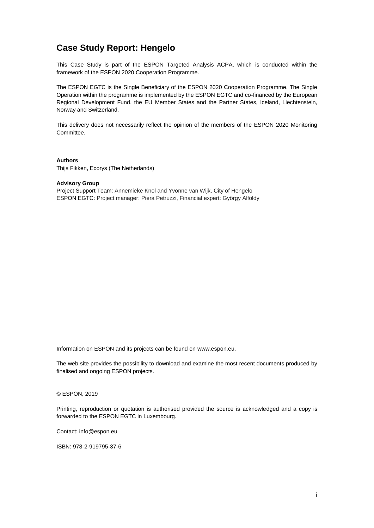# **Case Study Report: Hengelo**

This Case Study is part of the ESPON Targeted Analysis ACPA, which is conducted within the framework of the ESPON 2020 Cooperation Programme.

The ESPON EGTC is the Single Beneficiary of the ESPON 2020 Cooperation Programme. The Single Operation within the programme is implemented by the ESPON EGTC and co-financed by the European Regional Development Fund, the EU Member States and the Partner States, Iceland, Liechtenstein, Norway and Switzerland.

This delivery does not necessarily reflect the opinion of the members of the ESPON 2020 Monitoring Committee.

**Authors** Thijs Fikken, Ecorys (The Netherlands)

#### **Advisory Group**

Project Support Team: Annemieke Knol and Yvonne van Wijk, City of Hengelo ESPON EGTC: Project manager: Piera Petruzzi, Financial expert: György Alföldy

Information on ESPON and its projects can be found on [www.espon.eu.](https://www.espon.eu/)

The web site provides the possibility to download and examine the most recent documents produced by finalised and ongoing ESPON projects.

#### © ESPON, 2019

Printing, reproduction or quotation is authorised provided the source is acknowledged and a copy is forwarded to the ESPON EGTC in Luxembourg.

Contact: [info@espon.eu](mailto:info@espon.eu)

ISBN: 978-2-919795-37-6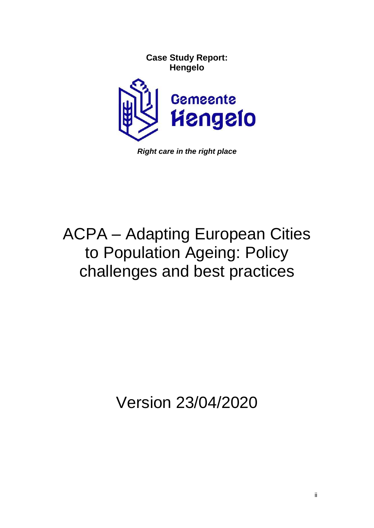

*Right care in the right place*

# ACPA – Adapting European Cities to Population Ageing: Policy challenges and best practices

Version 23/04/2020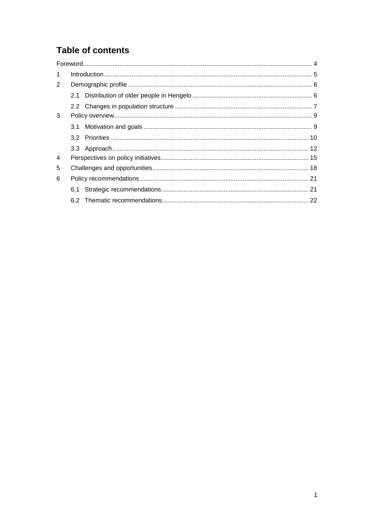# **Table of contents**

| $\mathbf{1}$   |  |
|----------------|--|
| 2              |  |
|                |  |
|                |  |
| 3              |  |
|                |  |
|                |  |
|                |  |
| $\overline{4}$ |  |
| 5              |  |
| 6              |  |
|                |  |
|                |  |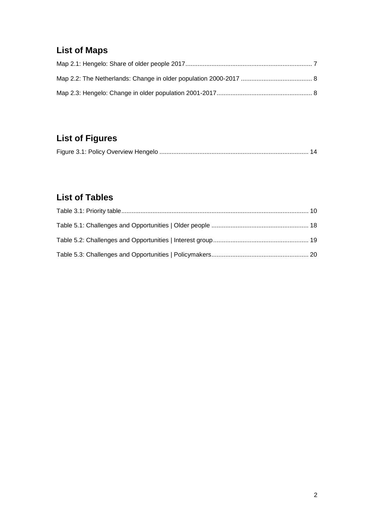# **List of Maps**

# **List of Figures**

# **List of Tables**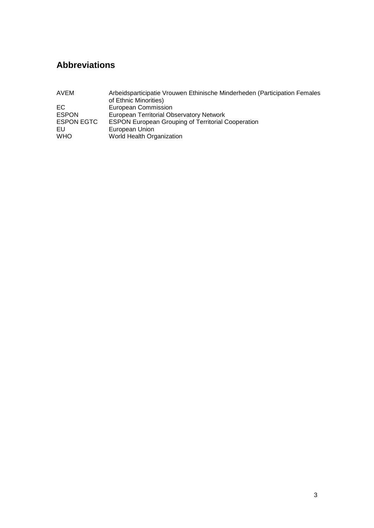# **Abbreviations**

| AVEM              | Arbeidsparticipatie Vrouwen Ethinische Minderheden (Participation Females |
|-------------------|---------------------------------------------------------------------------|
|                   | of Ethnic Minorities)                                                     |
| EC.               | European Commission                                                       |
| <b>ESPON</b>      | European Territorial Observatory Network                                  |
| <b>ESPON EGTC</b> | <b>ESPON European Grouping of Territorial Cooperation</b>                 |
| EU                | European Union                                                            |
| <b>WHO</b>        | World Health Organization                                                 |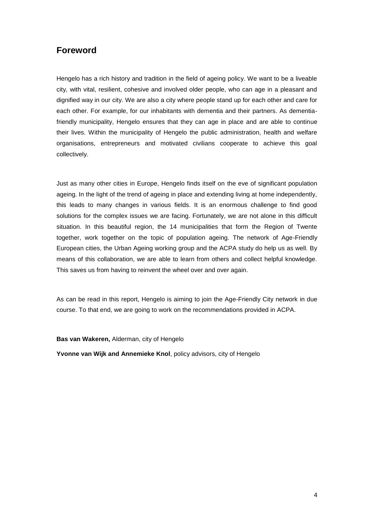### <span id="page-6-0"></span>**Foreword**

Hengelo has a rich history and tradition in the field of ageing policy. We want to be a liveable city, with vital, resilient, cohesive and involved older people, who can age in a pleasant and dignified way in our city. We are also a city where people stand up for each other and care for each other. For example, for our inhabitants with dementia and their partners. As dementiafriendly municipality, Hengelo ensures that they can age in place and are able to continue their lives. Within the municipality of Hengelo the public administration, health and welfare organisations, entrepreneurs and motivated civilians cooperate to achieve this goal collectively.

Just as many other cities in Europe, Hengelo finds itself on the eve of significant population ageing. In the light of the trend of ageing in place and extending living at home independently, this leads to many changes in various fields. It is an enormous challenge to find good solutions for the complex issues we are facing. Fortunately, we are not alone in this difficult situation. In this beautiful region, the 14 municipalities that form the Region of Twente together, work together on the topic of population ageing. The network of Age-Friendly European cities, the Urban Ageing working group and the ACPA study do help us as well. By means of this collaboration, we are able to learn from others and collect helpful knowledge. This saves us from having to reinvent the wheel over and over again.

As can be read in this report, Hengelo is aiming to join the Age-Friendly City network in due course. To that end, we are going to work on the recommendations provided in ACPA.

#### **Bas van Wakeren,** Alderman, city of Hengelo

**Yvonne van Wijk and Annemieke Knol**, policy advisors, city of Hengelo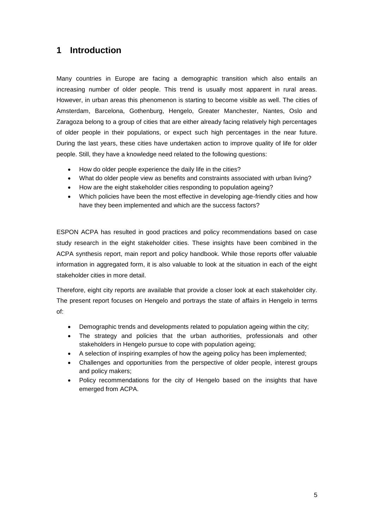# <span id="page-7-0"></span>**1 Introduction**

Many countries in Europe are facing a demographic transition which also entails an increasing number of older people. This trend is usually most apparent in rural areas. However, in urban areas this phenomenon is starting to become visible as well. The cities of Amsterdam, Barcelona, Gothenburg, Hengelo, Greater Manchester, Nantes, Oslo and Zaragoza belong to a group of cities that are either already facing relatively high percentages of older people in their populations, or expect such high percentages in the near future. During the last years, these cities have undertaken action to improve quality of life for older people. Still, they have a knowledge need related to the following questions:

- How do older people experience the daily life in the cities?
- What do older people view as benefits and constraints associated with urban living?
- How are the eight stakeholder cities responding to population ageing?
- Which policies have been the most effective in developing age-friendly cities and how have they been implemented and which are the success factors?

ESPON ACPA has resulted in good practices and policy recommendations based on case study research in the eight stakeholder cities. These insights have been combined in the ACPA synthesis report, main report and policy handbook. While those reports offer valuable information in aggregated form, it is also valuable to look at the situation in each of the eight stakeholder cities in more detail.

Therefore, eight city reports are available that provide a closer look at each stakeholder city. The present report focuses on Hengelo and portrays the state of affairs in Hengelo in terms of:

- Demographic trends and developments related to population ageing within the city;
- The strategy and policies that the urban authorities, professionals and other stakeholders in Hengelo pursue to cope with population ageing;
- A selection of inspiring examples of how the ageing policy has been implemented;
- Challenges and opportunities from the perspective of older people, interest groups and policy makers;
- Policy recommendations for the city of Hengelo based on the insights that have emerged from ACPA.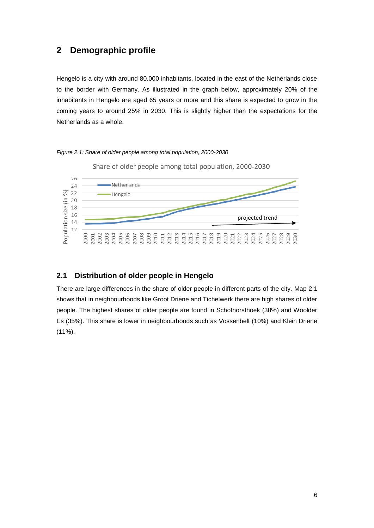### <span id="page-8-0"></span>**2 Demographic profile**

Hengelo is a city with around 80.000 inhabitants, located in the east of the Netherlands close to the border with Germany. As illustrated in the graph below, approximately 20% of the inhabitants in Hengelo are aged 65 years or more and this share is expected to grow in the coming years to around 25% in 2030. This is slightly higher than the expectations for the Netherlands as a whole.





#### <span id="page-8-1"></span>**2.1 Distribution of older people in Hengelo**

There are large differences in the share of older people in different parts of the city. Map 2.1 shows that in neighbourhoods like Groot Driene and Tichelwerk there are high shares of older people. The highest shares of older people are found in Schothorsthoek (38%) and Woolder Es (35%). This share is lower in neighbourhoods such as Vossenbelt (10%) and Klein Driene (11%).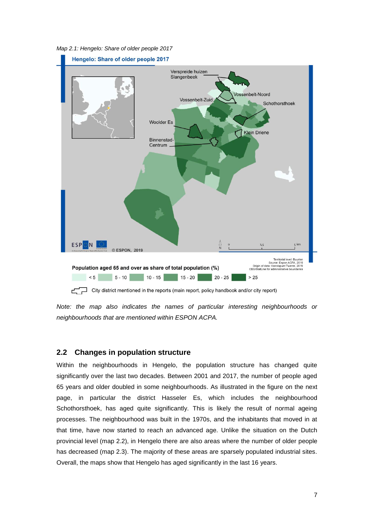<span id="page-9-1"></span>*Map 2.1: Hengelo: Share of older people 2017*



City district mentioned in the reports (main report, policy handbook and/or city report)

*Note: the map also indicates the names of particular interesting neighbourhoods or neighbourhoods that are mentioned within ESPON ACPA.*

#### <span id="page-9-0"></span>**2.2 Changes in population structure**

Within the neighbourhoods in Hengelo, the population structure has changed quite significantly over the last two decades. Between 2001 and 2017, the number of people aged 65 years and older doubled in some neighbourhoods. As illustrated in the figure on the next page, in particular the district Hasseler Es, which includes the neighbourhood Schothorsthoek, has aged quite significantly. This is likely the result of normal ageing processes. The neighbourhood was built in the 1970s, and the inhabitants that moved in at that time, have now started to reach an advanced age. Unlike the situation on the Dutch provincial level (map 2.2), in Hengelo there are also areas where the number of older people has decreased (map 2.3). The majority of these areas are sparsely populated industrial sites. Overall, the maps show that Hengelo has aged significantly in the last 16 years.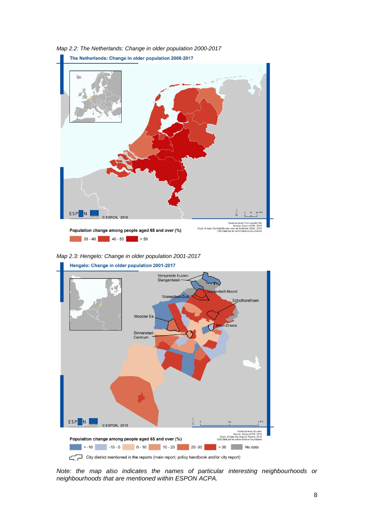

<span id="page-10-0"></span>*Map 2.2: The Netherlands: Change in older population 2000-2017*

<span id="page-10-1"></span>*Map 2.3: Hengelo: Change in older population 2001-2017*



*Note: the map also indicates the names of particular interesting neighbourhoods or neighbourhoods that are mentioned within ESPON ACPA.*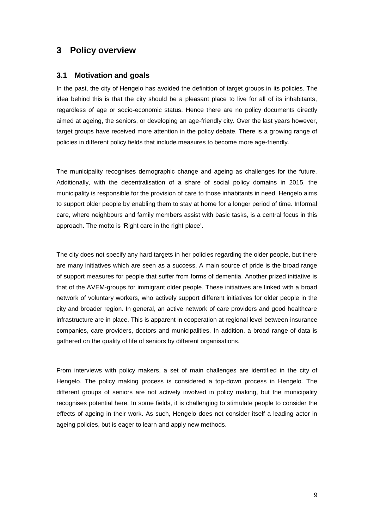### <span id="page-11-0"></span>**3 Policy overview**

#### <span id="page-11-1"></span>**3.1 Motivation and goals**

In the past, the city of Hengelo has avoided the definition of target groups in its policies. The idea behind this is that the city should be a pleasant place to live for all of its inhabitants, regardless of age or socio-economic status. Hence there are no policy documents directly aimed at ageing, the seniors, or developing an age-friendly city. Over the last years however, target groups have received more attention in the policy debate. There is a growing range of policies in different policy fields that include measures to become more age-friendly.

The municipality recognises demographic change and ageing as challenges for the future. Additionally, with the decentralisation of a share of social policy domains in 2015, the municipality is responsible for the provision of care to those inhabitants in need. Hengelo aims to support older people by enabling them to stay at home for a longer period of time. Informal care, where neighbours and family members assist with basic tasks, is a central focus in this approach. The motto is 'Right care in the right place'.

The city does not specify any hard targets in her policies regarding the older people, but there are many initiatives which are seen as a success. A main source of pride is the broad range of support measures for people that suffer from forms of dementia. Another prized initiative is that of the AVEM-groups for immigrant older people. These initiatives are linked with a broad network of voluntary workers, who actively support different initiatives for older people in the city and broader region. In general, an active network of care providers and good healthcare infrastructure are in place. This is apparent in cooperation at regional level between insurance companies, care providers, doctors and municipalities. In addition, a broad range of data is gathered on the quality of life of seniors by different organisations.

From interviews with policy makers, a set of main challenges are identified in the city of Hengelo. The policy making process is considered a top-down process in Hengelo. The different groups of seniors are not actively involved in policy making, but the municipality recognises potential here. In some fields, it is challenging to stimulate people to consider the effects of ageing in their work. As such, Hengelo does not consider itself a leading actor in ageing policies, but is eager to learn and apply new methods.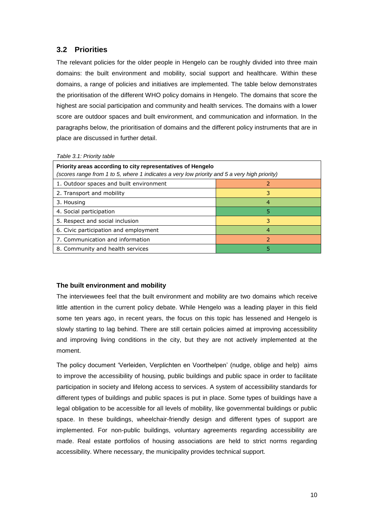### <span id="page-12-0"></span>**3.2 Priorities**

The relevant policies for the older people in Hengelo can be roughly divided into three main domains: the built environment and mobility, social support and healthcare. Within these domains, a range of policies and initiatives are implemented. The table below demonstrates the prioritisation of the different WHO policy domains in Hengelo. The domains that score the highest are social participation and community and health services. The domains with a lower score are outdoor spaces and built environment, and communication and information. In the paragraphs below, the prioritisation of domains and the different policy instruments that are in place are discussed in further detail.

|  | Table 3.1: Priority table |  |
|--|---------------------------|--|
|  |                           |  |

| Priority areas according to city representatives of Hengelo<br>(scores range from 1 to 5, where 1 indicates a very low priority and 5 a very high priority) |    |  |
|-------------------------------------------------------------------------------------------------------------------------------------------------------------|----|--|
| 1. Outdoor spaces and built environment                                                                                                                     |    |  |
| 2. Transport and mobility                                                                                                                                   | 3. |  |
| 3. Housing                                                                                                                                                  | 4  |  |
| 4. Social participation                                                                                                                                     |    |  |
| 5. Respect and social inclusion                                                                                                                             | 3  |  |
| 6. Civic participation and employment                                                                                                                       | 4  |  |
| 7. Communication and information                                                                                                                            |    |  |
| 8. Community and health services                                                                                                                            | 5  |  |

#### **The built environment and mobility**

The interviewees feel that the built environment and mobility are two domains which receive little attention in the current policy debate. While Hengelo was a leading player in this field some ten years ago, in recent years, the focus on this topic has lessened and Hengelo is slowly starting to lag behind. There are still certain policies aimed at improving accessibility and improving living conditions in the city, but they are not actively implemented at the moment.

The policy document 'Verleiden, Verplichten en Voorthelpen' (nudge, oblige and help) aims to improve the accessibility of housing, public buildings and public space in order to facilitate participation in society and lifelong access to services. A system of accessibility standards for different types of buildings and public spaces is put in place. Some types of buildings have a legal obligation to be accessible for all levels of mobility, like governmental buildings or public space. In these buildings, wheelchair-friendly design and different types of support are implemented. For non-public buildings, voluntary agreements regarding accessibility are made. Real estate portfolios of housing associations are held to strict norms regarding accessibility. Where necessary, the municipality provides technical support.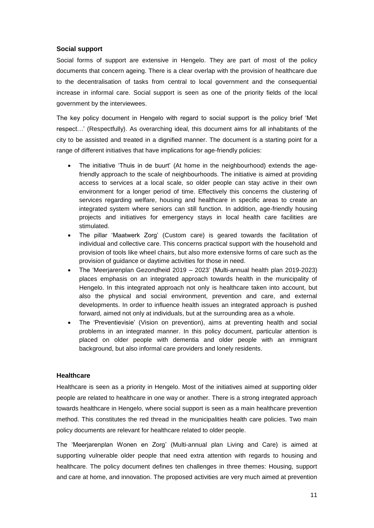#### **Social support**

Social forms of support are extensive in Hengelo. They are part of most of the policy documents that concern ageing. There is a clear overlap with the provision of healthcare due to the decentralisation of tasks from central to local government and the consequential increase in informal care. Social support is seen as one of the priority fields of the local government by the interviewees.

The key policy document in Hengelo with regard to social support is the policy brief 'Met respect…' (Respectfully). As overarching ideal, this document aims for all inhabitants of the city to be assisted and treated in a dignified manner. The document is a starting point for a range of different initiatives that have implications for age-friendly policies:

- The initiative 'Thuis in de buurt' (At home in the neighbourhood) extends the agefriendly approach to the scale of neighbourhoods. The initiative is aimed at providing access to services at a local scale, so older people can stay active in their own environment for a longer period of time. Effectively this concerns the clustering of services regarding welfare, housing and healthcare in specific areas to create an integrated system where seniors can still function. In addition, age-friendly housing projects and initiatives for emergency stays in local health care facilities are stimulated.
- The pillar 'Maatwerk Zorg' (Custom care) is geared towards the facilitation of individual and collective care. This concerns practical support with the household and provision of tools like wheel chairs, but also more extensive forms of care such as the provision of guidance or daytime activities for those in need.
- The 'Meerjarenplan Gezondheid 2019 2023' (Multi-annual health plan 2019-2023) places emphasis on an integrated approach towards health in the municipality of Hengelo. In this integrated approach not only is healthcare taken into account, but also the physical and social environment, prevention and care, and external developments. In order to influence health issues an integrated approach is pushed forward, aimed not only at individuals, but at the surrounding area as a whole.
- The 'Preventievisie' (Vision on prevention), aims at preventing health and social problems in an integrated manner. In this policy document, particular attention is placed on older people with dementia and older people with an immigrant background, but also informal care providers and lonely residents.

#### **Healthcare**

Healthcare is seen as a priority in Hengelo. Most of the initiatives aimed at supporting older people are related to healthcare in one way or another. There is a strong integrated approach towards healthcare in Hengelo, where social support is seen as a main healthcare prevention method. This constitutes the red thread in the municipalities health care policies. Two main policy documents are relevant for healthcare related to older people.

The 'Meerjarenplan Wonen en Zorg' (Multi-annual plan Living and Care) is aimed at supporting vulnerable older people that need extra attention with regards to housing and healthcare. The policy document defines ten challenges in three themes: Housing, support and care at home, and innovation. The proposed activities are very much aimed at prevention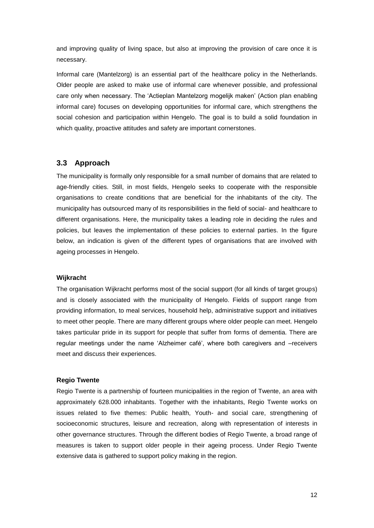and improving quality of living space, but also at improving the provision of care once it is necessary.

Informal care (Mantelzorg) is an essential part of the healthcare policy in the Netherlands. Older people are asked to make use of informal care whenever possible, and professional care only when necessary. The 'Actieplan Mantelzorg mogelijk maken' (Action plan enabling informal care) focuses on developing opportunities for informal care, which strengthens the social cohesion and participation within Hengelo. The goal is to build a solid foundation in which quality, proactive attitudes and safety are important cornerstones.

#### <span id="page-14-0"></span>**3.3 Approach**

The municipality is formally only responsible for a small number of domains that are related to age-friendly cities. Still, in most fields, Hengelo seeks to cooperate with the responsible organisations to create conditions that are beneficial for the inhabitants of the city. The municipality has outsourced many of its responsibilities in the field of social- and healthcare to different organisations. Here, the municipality takes a leading role in deciding the rules and policies, but leaves the implementation of these policies to external parties. In the figure below, an indication is given of the different types of organisations that are involved with ageing processes in Hengelo.

#### **Wijkracht**

The organisation Wijkracht performs most of the social support (for all kinds of target groups) and is closely associated with the municipality of Hengelo. Fields of support range from providing information, to meal services, household help, administrative support and initiatives to meet other people. There are many different groups where older people can meet. Hengelo takes particular pride in its support for people that suffer from forms of dementia. There are regular meetings under the name 'Alzheimer café', where both caregivers and –receivers meet and discuss their experiences.

#### **Regio Twente**

Regio Twente is a partnership of fourteen municipalities in the region of Twente, an area with approximately 628.000 inhabitants. Together with the inhabitants, Regio Twente works on issues related to five themes: Public health, Youth- and social care, strengthening of socioeconomic structures, leisure and recreation, along with representation of interests in other governance structures. Through the different bodies of Regio Twente, a broad range of measures is taken to support older people in their ageing process. Under Regio Twente extensive data is gathered to support policy making in the region.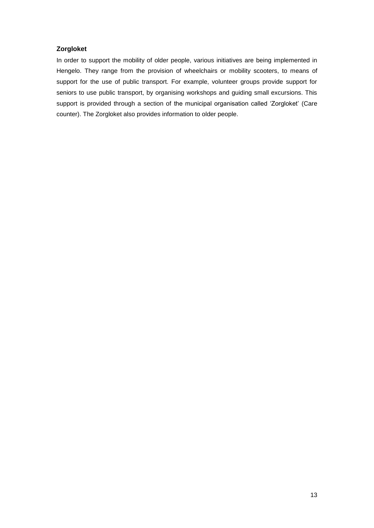#### **Zorgloket**

In order to support the mobility of older people, various initiatives are being implemented in Hengelo. They range from the provision of wheelchairs or mobility scooters, to means of support for the use of public transport. For example, volunteer groups provide support for seniors to use public transport, by organising workshops and guiding small excursions. This support is provided through a section of the municipal organisation called 'Zorgloket' (Care counter). The Zorgloket also provides information to older people.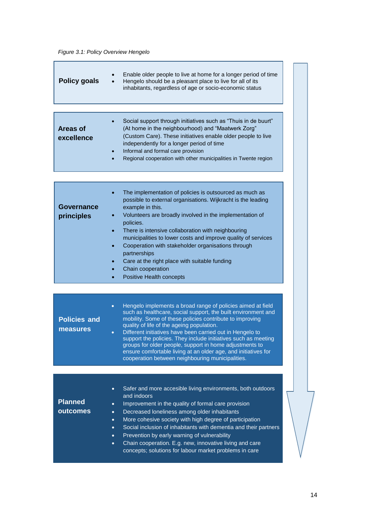#### <span id="page-16-0"></span>*Figure 3.1: Policy Overview Hengelo*

| <b>Policy goals</b>             | Enable older people to live at home for a longer period of time<br>Hengelo should be a pleasant place to live for all of its<br>inhabitants, regardless of age or socio-economic status                                                                                                                                                                                                                                                                                                                                                                                         |
|---------------------------------|---------------------------------------------------------------------------------------------------------------------------------------------------------------------------------------------------------------------------------------------------------------------------------------------------------------------------------------------------------------------------------------------------------------------------------------------------------------------------------------------------------------------------------------------------------------------------------|
| <b>Areas of</b><br>excellence   | Social support through initiatives such as "Thuis in de buurt"<br>(At home in the neighbourhood) and "Maatwerk Zorg"<br>(Custom Care). These initiatives enable older people to live<br>independently for a longer period of time<br>Informal and formal care provision<br>Regional cooperation with other municipalities in Twente region                                                                                                                                                                                                                                      |
| Governance<br>principles        | The implementation of policies is outsourced as much as<br>possible to external organisations. Wijkracht is the leading<br>example in this.<br>Volunteers are broadly involved in the implementation of<br>policies.<br>There is intensive collaboration with neighbouring<br>municipalities to lower costs and improve quality of services<br>Cooperation with stakeholder organisations through<br>partnerships<br>Care at the right place with suitable funding<br>Chain cooperation<br>Positive Health concepts                                                             |
| <b>Policies and</b><br>measures | Hengelo implements a broad range of policies aimed at field<br>$\bullet$<br>such as healthcare, social support, the built environment and<br>mobility. Some of these policies contribute to improving<br>quality of life of the ageing population.<br>Different initiatives have been carried out in Hengelo to<br>$\bullet$<br>support the policies. They include initiatives such as meeting<br>groups for older people, support in home adjustments to<br>ensure comfortable living at an older age, and initiatives for<br>cooperation between neighbouring municipalities. |
| <b>Planned</b><br>outcomes      | Safer and more accesible living environments, both outdoors<br>$\bullet$<br>and indoors<br>Improvement in the quality of formal care provision<br>$\bullet$<br>Decreased loneliness among older inhabitants<br>$\bullet$                                                                                                                                                                                                                                                                                                                                                        |

- More cohesive society with high degree of participation
- Social inclusion of inhabitants with dementia and their partners
- Prevention by early warning of vulnerability
- Chain cooperation. E.g. new, innovative living and care concepts; solutions for labour market problems in care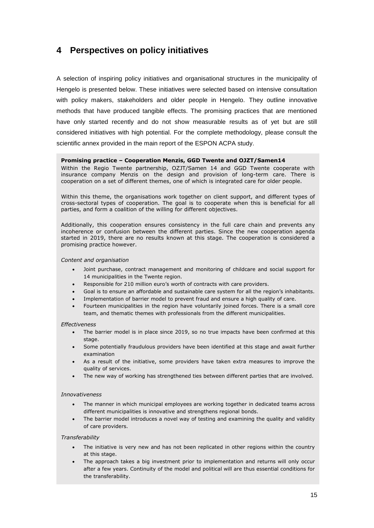# <span id="page-17-0"></span>**4 Perspectives on policy initiatives**

A selection of inspiring policy initiatives and organisational structures in the municipality of Hengelo is presented below. These initiatives were selected based on intensive consultation with policy makers, stakeholders and older people in Hengelo. They outline innovative methods that have produced tangible effects. The promising practices that are mentioned have only started recently and do not show measurable results as of yet but are still considered initiatives with high potential. For the complete methodology, please consult the scientific annex provided in the main report of the ESPON ACPA study.

#### **Promising practice – Cooperation Menzis, GGD Twente and OJZT/Samen14**

Within the Regio Twente partnership, OZJT/Samen 14 and GGD Twente cooperate with insurance company Menzis on the design and provision of long-term care. There is cooperation on a set of different themes, one of which is integrated care for older people.

Within this theme, the organisations work together on client support, and different types of cross-sectoral types of cooperation. The goal is to cooperate when this is beneficial for all parties, and form a coalition of the willing for different objectives.

Additionally, this cooperation ensures consistency in the full care chain and prevents any incoherence or confusion between the different parties. Since the new cooperation agenda started in 2019, there are no results known at this stage. The cooperation is considered a promising practice however.

#### *Content and organisation*

- Joint purchase, contract management and monitoring of childcare and social support for 14 municipalities in the Twente region.
- Responsible for 210 million euro's worth of contracts with care providers.
- Goal is to ensure an affordable and sustainable care system for all the region's inhabitants.
- Implementation of barrier model to prevent fraud and ensure a high quality of care.
- Fourteen municipalities in the region have voluntarily joined forces. There is a small core team, and thematic themes with professionals from the different municipalities.

#### *Effectiveness*

- The barrier model is in place since 2019, so no true impacts have been confirmed at this stage.
- Some potentially fraudulous providers have been identified at this stage and await further examination
- As a result of the initiative, some providers have taken extra measures to improve the quality of services.
- The new way of working has strengthened ties between different parties that are involved.

#### *Innovativeness*

- The manner in which municipal employees are working together in dedicated teams across different municipalities is innovative and strengthens regional bonds.
- The barrier model introduces a novel way of testing and examining the quality and validity of care providers.

#### *Transferability*

- The initiative is very new and has not been replicated in other regions within the country at this stage.
- The approach takes a big investment prior to implementation and returns will only occur after a few years. Continuity of the model and political will are thus essential conditions for the transferability.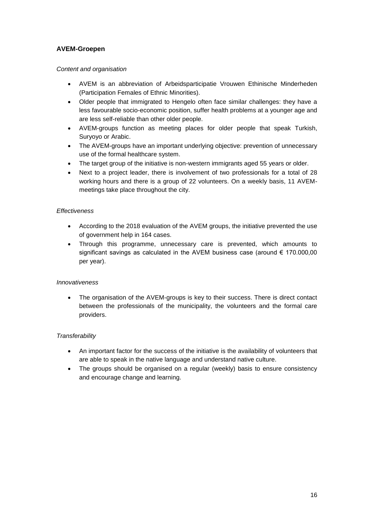#### **AVEM-Groepen**

#### *Content and organisation*

- AVEM is an abbreviation of Arbeidsparticipatie Vrouwen Ethinische Minderheden (Participation Females of Ethnic Minorities).
- Older people that immigrated to Hengelo often face similar challenges: they have a less favourable socio-economic position, suffer health problems at a younger age and are less self-reliable than other older people.
- AVEM-groups function as meeting places for older people that speak Turkish, Suryoyo or Arabic.
- The AVEM-groups have an important underlying objective: prevention of unnecessary use of the formal healthcare system.
- The target group of the initiative is non-western immigrants aged 55 years or older.
- Next to a project leader, there is involvement of two professionals for a total of 28 working hours and there is a group of 22 volunteers. On a weekly basis, 11 AVEMmeetings take place throughout the city.

#### *Effectiveness*

- According to the 2018 evaluation of the AVEM groups, the initiative prevented the use of government help in 164 cases.
- Through this programme, unnecessary care is prevented, which amounts to significant savings as calculated in the AVEM business case (around € 170.000,00 per year).

#### *Innovativeness*

The organisation of the AVEM-groups is key to their success. There is direct contact between the professionals of the municipality, the volunteers and the formal care providers.

#### *Transferability*

- An important factor for the success of the initiative is the availability of volunteers that are able to speak in the native language and understand native culture.
- The groups should be organised on a regular (weekly) basis to ensure consistency and encourage change and learning.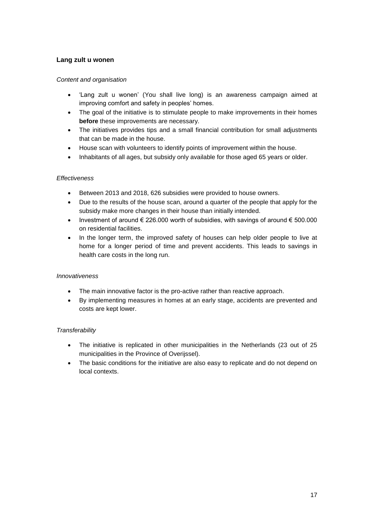#### **Lang zult u wonen**

#### *Content and organisation*

- 'Lang zult u wonen' (You shall live long) is an awareness campaign aimed at improving comfort and safety in peoples' homes.
- The goal of the initiative is to stimulate people to make improvements in their homes **before** these improvements are necessary.
- The initiatives provides tips and a small financial contribution for small adjustments that can be made in the house.
- House scan with volunteers to identify points of improvement within the house.
- Inhabitants of all ages, but subsidy only available for those aged 65 years or older.

#### *Effectiveness*

- Between 2013 and 2018, 626 subsidies were provided to house owners.
- Due to the results of the house scan, around a quarter of the people that apply for the subsidy make more changes in their house than initially intended.
- Investment of around  $\epsilon$  226,000 worth of subsidies, with savings of around  $\epsilon$  500,000 on residential facilities.
- In the longer term, the improved safety of houses can help older people to live at home for a longer period of time and prevent accidents. This leads to savings in health care costs in the long run.

#### *Innovativeness*

- The main innovative factor is the pro-active rather than reactive approach.
- By implementing measures in homes at an early stage, accidents are prevented and costs are kept lower.

#### *Transferability*

- The initiative is replicated in other municipalities in the Netherlands (23 out of 25 municipalities in the Province of Overijssel).
- The basic conditions for the initiative are also easy to replicate and do not depend on local contexts.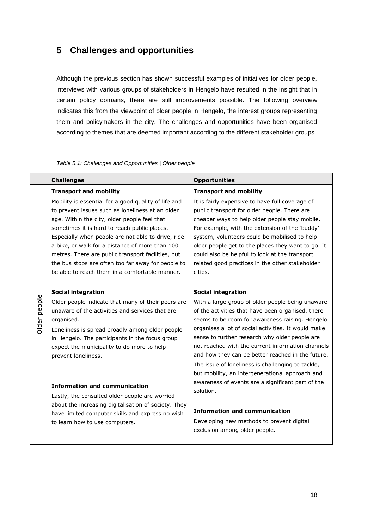## <span id="page-20-0"></span>**5 Challenges and opportunities**

Although the previous section has shown successful examples of initiatives for older people, interviews with various groups of stakeholders in Hengelo have resulted in the insight that in certain policy domains, there are still improvements possible. The following overview indicates this from the viewpoint of older people in Hengelo, the interest groups representing them and policymakers in the city. The challenges and opportunities have been organised according to themes that are deemed important according to the different stakeholder groups.

<span id="page-20-1"></span>

| Table 5.1: Challenges and Opportunities   Older people |  |
|--------------------------------------------------------|--|
|--------------------------------------------------------|--|

|              | <b>Challenges</b>                                                                                                                                                                                                                                                                                                                                                                                                                                                                                                                                                                                                                   | <b>Opportunities</b>                                                                                                                                                                                                                                                                                                                                                                                                                                                                                                                                                                                                                                                       |
|--------------|-------------------------------------------------------------------------------------------------------------------------------------------------------------------------------------------------------------------------------------------------------------------------------------------------------------------------------------------------------------------------------------------------------------------------------------------------------------------------------------------------------------------------------------------------------------------------------------------------------------------------------------|----------------------------------------------------------------------------------------------------------------------------------------------------------------------------------------------------------------------------------------------------------------------------------------------------------------------------------------------------------------------------------------------------------------------------------------------------------------------------------------------------------------------------------------------------------------------------------------------------------------------------------------------------------------------------|
|              | <b>Transport and mobility</b>                                                                                                                                                                                                                                                                                                                                                                                                                                                                                                                                                                                                       | <b>Transport and mobility</b>                                                                                                                                                                                                                                                                                                                                                                                                                                                                                                                                                                                                                                              |
| Older people | Mobility is essential for a good quality of life and<br>to prevent issues such as loneliness at an older<br>age. Within the city, older people feel that<br>sometimes it is hard to reach public places.<br>Especially when people are not able to drive, ride<br>a bike, or walk for a distance of more than 100<br>metres. There are public transport facilities, but<br>the bus stops are often too far away for people to<br>be able to reach them in a comfortable manner.<br><b>Social integration</b><br>Older people indicate that many of their peers are<br>unaware of the activities and services that are<br>organised. | It is fairly expensive to have full coverage of<br>public transport for older people. There are<br>cheaper ways to help older people stay mobile.<br>For example, with the extension of the 'buddy'<br>system, volunteers could be mobilised to help<br>older people get to the places they want to go. It<br>could also be helpful to look at the transport<br>related good practices in the other stakeholder<br>cities.<br><b>Social integration</b><br>With a large group of older people being unaware<br>of the activities that have been organised, there<br>seems to be room for awareness raising. Hengelo<br>organises a lot of social activities. It would make |
|              | Loneliness is spread broadly among older people<br>in Hengelo. The participants in the focus group<br>expect the municipality to do more to help<br>prevent loneliness.                                                                                                                                                                                                                                                                                                                                                                                                                                                             | sense to further research why older people are<br>not reached with the current information channels<br>and how they can be better reached in the future.<br>The issue of loneliness is challenging to tackle,<br>but mobility, an intergenerational approach and                                                                                                                                                                                                                                                                                                                                                                                                           |
|              | <b>Information and communication</b><br>Lastly, the consulted older people are worried<br>about the increasing digitalisation of society. They<br>have limited computer skills and express no wish<br>to learn how to use computers.                                                                                                                                                                                                                                                                                                                                                                                                | awareness of events are a significant part of the<br>solution.                                                                                                                                                                                                                                                                                                                                                                                                                                                                                                                                                                                                             |
|              |                                                                                                                                                                                                                                                                                                                                                                                                                                                                                                                                                                                                                                     | <b>Information and communication</b><br>Developing new methods to prevent digital<br>exclusion among older people.                                                                                                                                                                                                                                                                                                                                                                                                                                                                                                                                                         |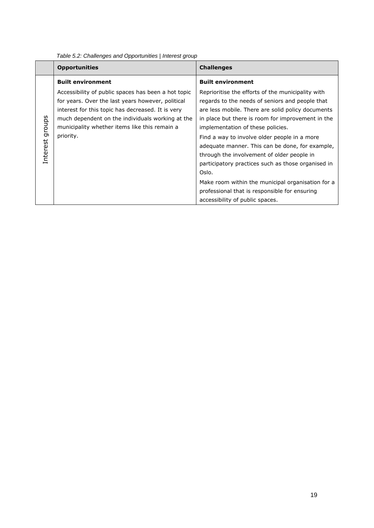|                 | <b>Opportunities</b>                                                                                                                                                                                                                                                            | <b>Challenges</b>                                                                                                                                                                                                                                                                                                                                                                                                                                                                                                                                                                                            |
|-----------------|---------------------------------------------------------------------------------------------------------------------------------------------------------------------------------------------------------------------------------------------------------------------------------|--------------------------------------------------------------------------------------------------------------------------------------------------------------------------------------------------------------------------------------------------------------------------------------------------------------------------------------------------------------------------------------------------------------------------------------------------------------------------------------------------------------------------------------------------------------------------------------------------------------|
|                 | <b>Built environment</b>                                                                                                                                                                                                                                                        | <b>Built environment</b>                                                                                                                                                                                                                                                                                                                                                                                                                                                                                                                                                                                     |
| Interest groups | Accessibility of public spaces has been a hot topic<br>for years. Over the last years however, political<br>interest for this topic has decreased. It is very<br>much dependent on the individuals working at the<br>municipality whether items like this remain a<br>priority. | Reprioritise the efforts of the municipality with<br>regards to the needs of seniors and people that<br>are less mobile. There are solid policy documents<br>in place but there is room for improvement in the<br>implementation of these policies.<br>Find a way to involve older people in a more<br>adequate manner. This can be done, for example,<br>through the involvement of older people in<br>participatory practices such as those organised in<br>Oslo.<br>Make room within the municipal organisation for a<br>professional that is responsible for ensuring<br>accessibility of public spaces. |

<span id="page-21-0"></span>*Table 5.2: Challenges and Opportunities | Interest group*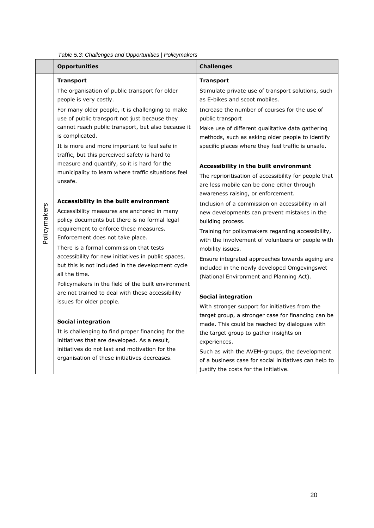|              | rable 5.5. Cridileriges and Opportunities   Folicymaners                                                                                                                                                                                                                     |                                                                                                                                                 |  |  |
|--------------|------------------------------------------------------------------------------------------------------------------------------------------------------------------------------------------------------------------------------------------------------------------------------|-------------------------------------------------------------------------------------------------------------------------------------------------|--|--|
|              | <b>Opportunities</b>                                                                                                                                                                                                                                                         | <b>Challenges</b>                                                                                                                               |  |  |
|              | <b>Transport</b>                                                                                                                                                                                                                                                             | <b>Transport</b>                                                                                                                                |  |  |
|              | The organisation of public transport for older<br>people is very costly.                                                                                                                                                                                                     | Stimulate private use of transport solutions, such<br>as E-bikes and scoot mobiles.                                                             |  |  |
|              | For many older people, it is challenging to make<br>use of public transport not just because they<br>cannot reach public transport, but also because it<br>is complicated.<br>It is more and more important to feel safe in<br>traffic, but this perceived safety is hard to | Increase the number of courses for the use of<br>public transport                                                                               |  |  |
|              |                                                                                                                                                                                                                                                                              | Make use of different qualitative data gathering<br>methods, such as asking older people to identify                                            |  |  |
|              |                                                                                                                                                                                                                                                                              | specific places where they feel traffic is unsafe.                                                                                              |  |  |
|              | measure and quantify, so it is hard for the<br>municipality to learn where traffic situations feel                                                                                                                                                                           | Accessibility in the built environment                                                                                                          |  |  |
|              | unsafe.                                                                                                                                                                                                                                                                      | The reprioritisation of accessibility for people that<br>are less mobile can be done either through                                             |  |  |
|              |                                                                                                                                                                                                                                                                              | awareness raising, or enforcement.                                                                                                              |  |  |
| Policymakers | Accessibility in the built environment<br>Accessibility measures are anchored in many<br>policy documents but there is no formal legal                                                                                                                                       | Inclusion of a commission on accessibility in all<br>new developments can prevent mistakes in the<br>building process.                          |  |  |
|              | requirement to enforce these measures.<br>Enforcement does not take place.                                                                                                                                                                                                   | Training for policymakers regarding accessibility,<br>with the involvement of volunteers or people with                                         |  |  |
|              | There is a formal commission that tests                                                                                                                                                                                                                                      | mobility issues.                                                                                                                                |  |  |
|              | accessibility for new initiatives in public spaces,<br>but this is not included in the development cycle<br>all the time.                                                                                                                                                    | Ensure integrated approaches towards ageing are<br>included in the newly developed Omgevingswet                                                 |  |  |
|              | Policymakers in the field of the built environment                                                                                                                                                                                                                           | (National Environment and Planning Act).                                                                                                        |  |  |
|              | are not trained to deal with these accessibility<br>issues for older people.<br><b>Social integration</b><br>It is challenging to find proper financing for the<br>initiatives that are developed. As a result,                                                              | <b>Social integration</b>                                                                                                                       |  |  |
|              |                                                                                                                                                                                                                                                                              | With stronger support for initiatives from the                                                                                                  |  |  |
|              |                                                                                                                                                                                                                                                                              | target group, a stronger case for financing can be                                                                                              |  |  |
|              |                                                                                                                                                                                                                                                                              | made. This could be reached by dialogues with                                                                                                   |  |  |
|              |                                                                                                                                                                                                                                                                              | the target group to gather insights on<br>experiences.                                                                                          |  |  |
|              | initiatives do not last and motivation for the<br>organisation of these initiatives decreases.                                                                                                                                                                               | Such as with the AVEM-groups, the development<br>of a business case for social initiatives can help to<br>justify the costs for the initiative. |  |  |

<span id="page-22-0"></span>*Table 5.3: Challenges and Opportunities | Policymakers*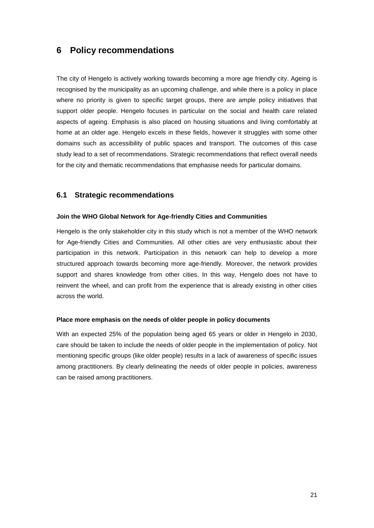### <span id="page-23-0"></span>**6 Policy recommendations**

The city of Hengelo is actively working towards becoming a more age friendly city. Ageing is recognised by the municipality as an upcoming challenge, and while there is a policy in place where no priority is given to specific target groups, there are ample policy initiatives that support older people. Hengelo focuses in particular on the social and health care related aspects of ageing. Emphasis is also placed on housing situations and living comfortably at home at an older age. Hengelo excels in these fields, however it struggles with some other domains such as accessibility of public spaces and transport. The outcomes of this case study lead to a set of recommendations. Strategic recommendations that reflect overall needs for the city and thematic recommendations that emphasise needs for particular domains.

#### <span id="page-23-1"></span>**6.1 Strategic recommendations**

#### **Join the WHO Global Network for Age-friendly Cities and Communities**

Hengelo is the only stakeholder city in this study which is not a member of the WHO network for Age-friendly Cities and Communities. All other cities are very enthusiastic about their participation in this network. Participation in this network can help to develop a more structured approach towards becoming more age-friendly. Moreover, the network provides support and shares knowledge from other cities. In this way, Hengelo does not have to reinvent the wheel, and can profit from the experience that is already existing in other cities across the world.

#### **Place more emphasis on the needs of older people in policy documents**

With an expected 25% of the population being aged 65 years or older in Hengelo in 2030, care should be taken to include the needs of older people in the implementation of policy. Not mentioning specific groups (like older people) results in a lack of awareness of specific issues among practitioners. By clearly delineating the needs of older people in policies, awareness can be raised among practitioners.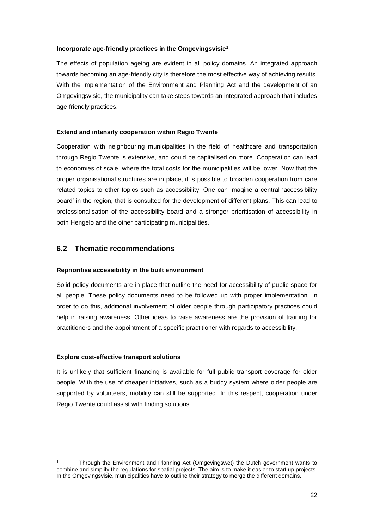#### **Incorporate age-friendly practices in the Omgevingsvisie<sup>1</sup>**

The effects of population ageing are evident in all policy domains. An integrated approach towards becoming an age-friendly city is therefore the most effective way of achieving results. With the implementation of the Environment and Planning Act and the development of an Omgevingsvisie, the municipality can take steps towards an integrated approach that includes age-friendly practices.

#### **Extend and intensify cooperation within Regio Twente**

Cooperation with neighbouring municipalities in the field of healthcare and transportation through Regio Twente is extensive, and could be capitalised on more. Cooperation can lead to economies of scale, where the total costs for the municipalities will be lower. Now that the proper organisational structures are in place, it is possible to broaden cooperation from care related topics to other topics such as accessibility. One can imagine a central 'accessibility board' in the region, that is consulted for the development of different plans. This can lead to professionalisation of the accessibility board and a stronger prioritisation of accessibility in both Hengelo and the other participating municipalities.

#### <span id="page-24-0"></span>**6.2 Thematic recommendations**

#### **Reprioritise accessibility in the built environment**

Solid policy documents are in place that outline the need for accessibility of public space for all people. These policy documents need to be followed up with proper implementation. In order to do this, additional involvement of older people through participatory practices could help in raising awareness. Other ideas to raise awareness are the provision of training for practitioners and the appointment of a specific practitioner with regards to accessibility.

#### **Explore cost-effective transport solutions**

1

It is unlikely that sufficient financing is available for full public transport coverage for older people. With the use of cheaper initiatives, such as a buddy system where older people are supported by volunteers, mobility can still be supported. In this respect, cooperation under Regio Twente could assist with finding solutions.

<sup>1</sup> Through the Environment and Planning Act (Omgevingswet) the Dutch government wants to combine and simplify the regulations for spatial projects. The aim is to make it easier to start up projects. In the Omgevingsvisie, municipalities have to outline their strategy to merge the different domains.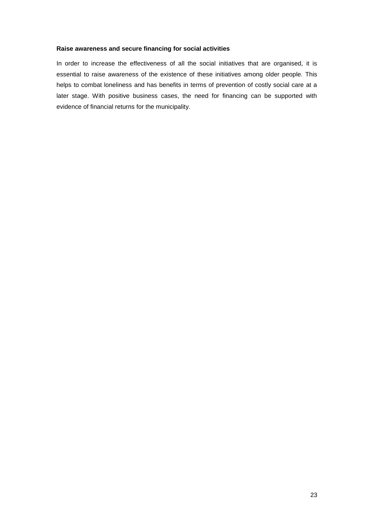#### **Raise awareness and secure financing for social activities**

In order to increase the effectiveness of all the social initiatives that are organised, it is essential to raise awareness of the existence of these initiatives among older people. This helps to combat loneliness and has benefits in terms of prevention of costly social care at a later stage. With positive business cases, the need for financing can be supported with evidence of financial returns for the municipality.